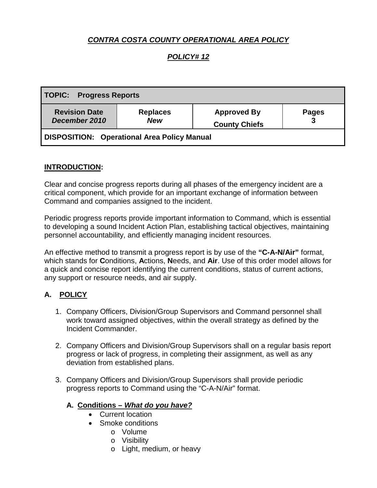# *CONTRA COSTA COUNTY OPERATIONAL AREA POLICY*

## *POLICY# 12*

| <b>TOPIC: Progress Reports</b>              |                               |                                            |              |
|---------------------------------------------|-------------------------------|--------------------------------------------|--------------|
| <b>Revision Date</b><br>December 2010       | <b>Replaces</b><br><b>New</b> | <b>Approved By</b><br><b>County Chiefs</b> | <b>Pages</b> |
| DISPOSITION: Operational Area Policy Manual |                               |                                            |              |

#### **INTRODUCTION:**

Clear and concise progress reports during all phases of the emergency incident are a critical component, which provide for an important exchange of information between Command and companies assigned to the incident.

Periodic progress reports provide important information to Command, which is essential to developing a sound Incident Action Plan, establishing tactical objectives, maintaining personnel accountability, and efficiently managing incident resources.

An effective method to transmit a progress report is by use of the **"C-A-N/Air"** format, which stands for **C**onditions, **A**ctions, **N**eeds, and **Air**. Use of this order model allows for a quick and concise report identifying the current conditions, status of current actions, any support or resource needs, and air supply.

## **A. POLICY**

- 1. Company Officers, Division/Group Supervisors and Command personnel shall work toward assigned objectives, within the overall strategy as defined by the Incident Commander.
- 2. Company Officers and Division/Group Supervisors shall on a regular basis report progress or lack of progress, in completing their assignment, as well as any deviation from established plans.
- 3. Company Officers and Division/Group Supervisors shall provide periodic progress reports to Command using the "C-A-N/Air" format.

#### **A. Conditions –** *What do you have?*

- Current location
- Smoke conditions
	- o Volume
	- o Visibility
	- o Light, medium, or heavy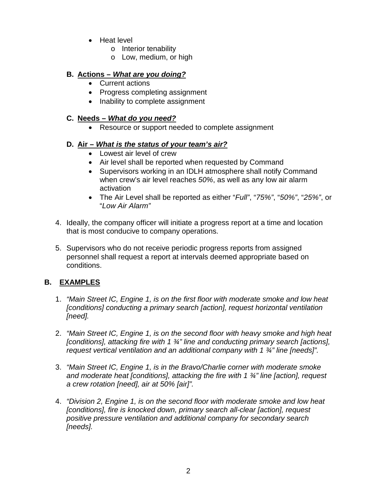- Heat level
	- o Interior tenability
	- o Low, medium, or high

### **B. Actions –** *What are you doing?*

- Current actions
- Progress completing assignment
- Inability to complete assignment

### **C. Needs –** *What do you need?*

• Resource or support needed to complete assignment

## **D. Air –** *What is the status of your team's air?*

- Lowest air level of crew
- Air level shall be reported when requested by Command
- Supervisors working in an IDLH atmosphere shall notify Command when crew's air level reaches *50%*, as well as any low air alarm activation
- The Air Level shall be reported as either "*Full"*, "*75%"*, "*50%"*, "*25%"*, or "*Low Air Alarm"*
- 4. Ideally, the company officer will initiate a progress report at a time and location that is most conducive to company operations.
- 5. Supervisors who do not receive periodic progress reports from assigned personnel shall request a report at intervals deemed appropriate based on conditions.

# **B. EXAMPLES**

- 1. *"Main Street IC, Engine 1, is on the first floor with moderate smoke and low heat [conditions] conducting a primary search [action], request horizontal ventilation [need].*
- 2. *"Main Street IC, Engine 1, is on the second floor with heavy smoke and high heat [conditions], attacking fire with 1 ¾" line and conducting primary search [actions], request vertical ventilation and an additional company with 1 ¾" line [needs]".*
- 3. *"Main Street IC, Engine 1, is in the Bravo/Charlie corner with moderate smoke and moderate heat [conditions], attacking the fire with 1 ¾" line [action], request a crew rotation [need], air at 50% [air]".*
- 4. *"Division 2, Engine 1, is on the second floor with moderate smoke and low heat [conditions], fire is knocked down, primary search all-clear [action], request positive pressure ventilation and additional company for secondary search [needs].*